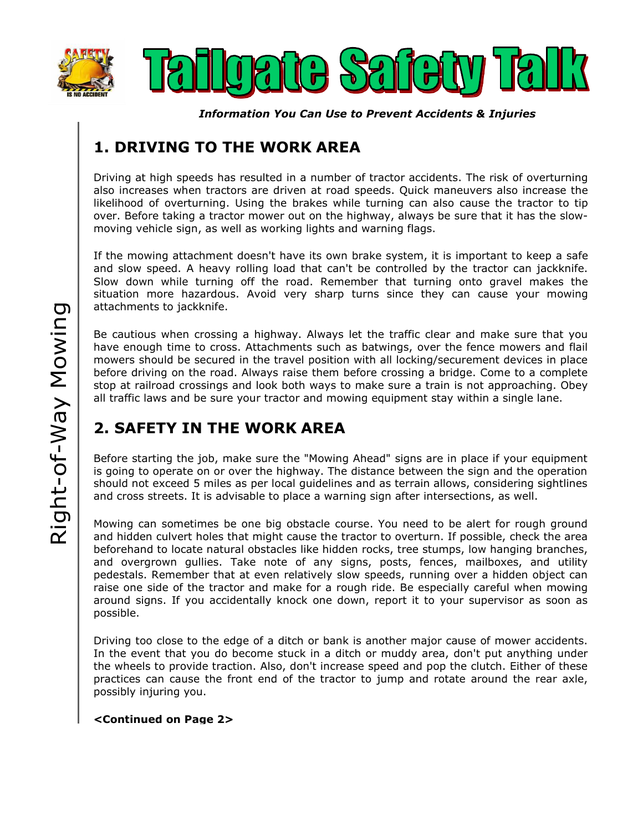



*Information You Can Use to Prevent Accidents & Injuries*

## **1. DRIVING TO THE WORK AREA**

Driving at high speeds has resulted in a number of tractor accidents. The risk of overturning also increases when tractors are driven at road speeds. Quick maneuvers also increase the likelihood of overturning. Using the brakes while turning can also cause the tractor to tip over. Before taking a tractor mower out on the highway, always be sure that it has the slowmoving vehicle sign, as well as working lights and warning flags.

If the mowing attachment doesn't have its own brake system, it is important to keep a safe and slow speed. A heavy rolling load that can't be controlled by the tractor can jackknife. Slow down while turning off the road. Remember that turning onto gravel makes the situation more hazardous. Avoid very sharp turns since they can cause your mowing attachments to jackknife.

Be cautious when crossing a highway. Always let the traffic clear and make sure that you have enough time to cross. Attachments such as batwings, over the fence mowers and flail mowers should be secured in the travel position with all locking/securement devices in place before driving on the road. Always raise them before crossing a bridge. Come to a complete stop at railroad crossings and look both ways to make sure a train is not approaching. Obey all traffic laws and be sure your tractor and mowing equipment stay within a single lane.

## **2. SAFETY IN THE WORK AREA**

Before starting the job, make sure the "Mowing Ahead" signs are in place if your equipment is going to operate on or over the highway. The distance between the sign and the operation should not exceed 5 miles as per local guidelines and as terrain allows, considering sightlines and cross streets. It is advisable to place a warning sign after intersections, as well.

Mowing can sometimes be one big obstacle course. You need to be alert for rough ground and hidden culvert holes that might cause the tractor to overturn. If possible, check the area beforehand to locate natural obstacles like hidden rocks, tree stumps, low hanging branches, and overgrown gullies. Take note of any signs, posts, fences, mailboxes, and utility pedestals. Remember that at even relatively slow speeds, running over a hidden object can raise one side of the tractor and make for a rough ride. Be especially careful when mowing around signs. If you accidentally knock one down, report it to your supervisor as soon as possible.

Driving too close to the edge of a ditch or bank is another major cause of mower accidents. In the event that you do become stuck in a ditch or muddy area, don't put anything under the wheels to provide traction. Also, don't increase speed and pop the clutch. Either of these practices can cause the front end of the tractor to jump and rotate around the rear axle, possibly injuring you.

**<Continued on Page 2>**